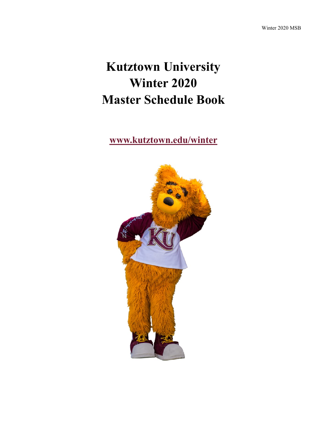# **Kutztown University Winter 2020 Master Schedule Book**

**[www.kutztown.edu/winter](file:///C:/Users/walton/Documents/Baby)**

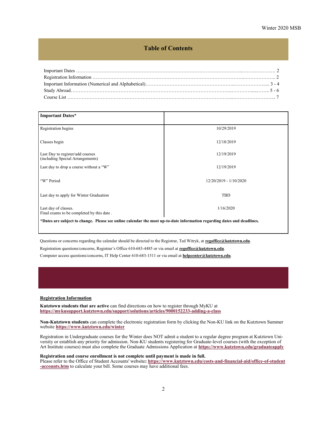# **Table of Contents**

<span id="page-1-0"></span>

| <b>Important Dates*</b>                                                                                                 |                        |  |  |  |  |  |
|-------------------------------------------------------------------------------------------------------------------------|------------------------|--|--|--|--|--|
| Registration begins                                                                                                     | 10/29/2019             |  |  |  |  |  |
| Classes begin                                                                                                           | 12/18/2019             |  |  |  |  |  |
| Last Day to register/add courses<br>(including Special Arrangements)                                                    | 12/19/2019             |  |  |  |  |  |
| Last day to drop a course without a "W"                                                                                 | 12/19/2019             |  |  |  |  |  |
| "W" Period                                                                                                              | 12/20/2019 - 1/10/2020 |  |  |  |  |  |
| Last day to apply for Winter Graduation                                                                                 | <b>TBD</b>             |  |  |  |  |  |
| Last day of classes.<br>Final exams to be completed by this date.                                                       | 1/16/2020              |  |  |  |  |  |
| *Dates are subject to change. Please see online calendar the most up-to-date information regarding dates and deadlines. |                        |  |  |  |  |  |

Questions or concerns regarding the calendar should be directed to the Registrar, Ted Witryk, at **[regoffice@kutztown.edu](mailto:regoffice@kutztown.edu)**.

Registration questions/concerns, Registrar's Office 610-683-4485 or via email at **[regoffice@kutztown.edu](mailto:regoffice@kutztown.edu)**.

Computer access questions/concerns, IT Help Center 610-683-1511 or via email at **[helpcenter@kutztown.edu](mailto:helpcenter@kutztown.edu?subject=%20)**.

#### **Registration Information**

**Kutztown students that are active** can find directions on how to register through MyKU at **[https://mykusupport.kutztown.edu/support/solutions/articles/9000152233](https://mykusupport.kutztown.edu/support/solutions/articles/9000152233-adding-a-class)-adding-a-clas[s](https://www.kutztown.edu/about-ku/administrative-offices/information-technology/myku-information/students.htm)**

**Non-Kutztown students** can complete the electronic registration form by clicking the Non-KU link on the Kutztown Summer website **[https://www.kutztown.edu/winter](#page-1-0)**

Registration in Undergraduate courses for the Winter does NOT admit a student to a regular degree program at Kutztown University or establish any priority for admission. Non-KU students registering for Graduate-level courses (with the exception of Art Institute courses) must also complete the Graduate Admissions Application at **[https://www.kutztown.edu/graduateapply](#page-1-0)**

#### **Registration and course enrollment is not complete until payment is made in full.**

Please refer to the Office of Student Accounts' website**: [https://www.kutztown.edu/costs](https://www.kutztown.edu/costs-and-financial-aid/office-of-student-accounts.htm)-and-financial-aid/office-of-student -[accounts.htm](https://www.kutztown.edu/costs-and-financial-aid/office-of-student-accounts.htm)** to calculate your bill. Some courses may have additional fees.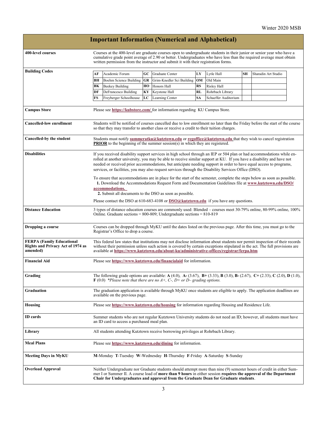|                                                                                          |                                                                                                                                                                                                                                                                                                                                                                                                                                                                              |                                      |           | <b>Important Information (Numerical and Alphabetical)</b>                                                                                                                                                                                                                                                                             |           |                      |           |                     |  |
|------------------------------------------------------------------------------------------|------------------------------------------------------------------------------------------------------------------------------------------------------------------------------------------------------------------------------------------------------------------------------------------------------------------------------------------------------------------------------------------------------------------------------------------------------------------------------|--------------------------------------|-----------|---------------------------------------------------------------------------------------------------------------------------------------------------------------------------------------------------------------------------------------------------------------------------------------------------------------------------------------|-----------|----------------------|-----------|---------------------|--|
| <b>400-level courses</b>                                                                 |                                                                                                                                                                                                                                                                                                                                                                                                                                                                              |                                      |           | Courses at the 400-level are graduate courses open to undergraduate students in their junior or senior year who have a<br>cumulative grade point average of 2.90 or better. Undergraduates who have less than the required average must obtain<br>written permission from the instructor and submit it with their registration forms. |           |                      |           |                     |  |
| <b>Building Codes</b>                                                                    | AF                                                                                                                                                                                                                                                                                                                                                                                                                                                                           | Academic Forum                       | GC        | Graduate Center                                                                                                                                                                                                                                                                                                                       | LY        | Lytle Hall           | <b>SH</b> | Sharadin Art Studio |  |
|                                                                                          | BH                                                                                                                                                                                                                                                                                                                                                                                                                                                                           | Boehm Science Building               | <b>GR</b> | Grim-Knedler Sci Building                                                                                                                                                                                                                                                                                                             | OM        | Old Main             |           |                     |  |
|                                                                                          | BK                                                                                                                                                                                                                                                                                                                                                                                                                                                                           | <b>Beekey Building</b>               | HO        | Honors Hall                                                                                                                                                                                                                                                                                                                           | RS        | Risley Hall          |           |                     |  |
|                                                                                          | DF                                                                                                                                                                                                                                                                                                                                                                                                                                                                           | DeFrancesco Building                 | KY        | Keystone Hall                                                                                                                                                                                                                                                                                                                         | <b>RL</b> | Rohrbach Library     |           |                     |  |
|                                                                                          | FS                                                                                                                                                                                                                                                                                                                                                                                                                                                                           | Freyberger Schoolhouse               | LC        | Learning Center                                                                                                                                                                                                                                                                                                                       | SA        | Schaeffer Auditorium |           |                     |  |
| <b>Campus Store</b>                                                                      | Please see https://kubstore.com/ for information regarding KU Campus Store.                                                                                                                                                                                                                                                                                                                                                                                                  |                                      |           |                                                                                                                                                                                                                                                                                                                                       |           |                      |           |                     |  |
| <b>Cancelled-low enrollment</b>                                                          | Students will be notified of courses cancelled due to low enrollment no later than the Friday before the start of the course<br>so that they may transfer to another class or receive a credit to their tuition charges.                                                                                                                                                                                                                                                     |                                      |           |                                                                                                                                                                                                                                                                                                                                       |           |                      |           |                     |  |
| Cancelled-by the student                                                                 |                                                                                                                                                                                                                                                                                                                                                                                                                                                                              |                                      |           | Students must notify summeratku@kutztown.edu or regoffice@kutztown.edu that they wish to cancel registration<br><b>PRIOR</b> to the beginning of the summer $\overline{s}$ ession( $\overline{s}$ ) in which they are registered.                                                                                                     |           |                      |           |                     |  |
| <b>Disabilities</b>                                                                      | If you received disability support services in high school through an IEP or 504 plan or had accommodations while en-<br>rolled at another university, you may be able to receive similar support at KU. If you have a disability and have not<br>needed or received prior accommodations, but anticipate needing support in order to have equal access to programs,<br>services, or facilities, you may also request services through the Disability Services Office (DSO). |                                      |           |                                                                                                                                                                                                                                                                                                                                       |           |                      |           |                     |  |
|                                                                                          |                                                                                                                                                                                                                                                                                                                                                                                                                                                                              | accommodations.                      |           | To ensure that accommodations are in place for the start of the semester, complete the steps below as soon as possible.<br>1. Download the Accommodations Request Form and Documentation Guidelines file at www.kutztown.edu/DSO/<br>2. Submit all documents to the DSO as soon as possible.                                          |           |                      |           |                     |  |
|                                                                                          |                                                                                                                                                                                                                                                                                                                                                                                                                                                                              |                                      |           | Please contact the DSO at $610-683-4108$ or $DSO(a)$ kutztown.edu if you have any questions.                                                                                                                                                                                                                                          |           |                      |           |                     |  |
| <b>Distance Education</b>                                                                |                                                                                                                                                                                                                                                                                                                                                                                                                                                                              |                                      |           | 3 types of distance education courses are commonly used: Blended – courses meet 30-79% online, 80-99% online, 100%<br>Online. Graduate sections = $800-809$ ; Undergraduate sections = $810-819$                                                                                                                                      |           |                      |           |                     |  |
| Dropping a course                                                                        |                                                                                                                                                                                                                                                                                                                                                                                                                                                                              | Registrar's Office to drop a course. |           | Courses can be dropped through MyKU until the dates listed on the previous page. After this time, you must go to the                                                                                                                                                                                                                  |           |                      |           |                     |  |
| <b>FERPA (Family Educational</b><br><b>Rights and Privacy Act of 1974 as</b><br>amended) | This federal law states that institutions may not disclose information about students nor permit inspection of their records<br>without their permission unless such action is covered by certain exceptions stipulated in the act. The full provisions are<br>available at https://www.kutztown.edu/about-ku/administrative-offices/registrar/ferpa.htm                                                                                                                     |                                      |           |                                                                                                                                                                                                                                                                                                                                       |           |                      |           |                     |  |
| <b>Financial Aid</b>                                                                     |                                                                                                                                                                                                                                                                                                                                                                                                                                                                              |                                      |           | Please see https://www.kutztown.edu/financialaid for information.                                                                                                                                                                                                                                                                     |           |                      |           |                     |  |
| Grading                                                                                  |                                                                                                                                                                                                                                                                                                                                                                                                                                                                              |                                      |           | The following grade options are available: A (4.0), A- (3.67), B+ (3.33), B (3.0), B- (2.67), C+ (2.33), C (2.0), D (1.0),<br>$\bf{F}$ (0.0) *Please note that there are no A+, C-, D+ or D– grading options.                                                                                                                         |           |                      |           |                     |  |
| Graduation                                                                               |                                                                                                                                                                                                                                                                                                                                                                                                                                                                              | available on the previous page.      |           | The graduation application is available through MyKU once students are eligible to apply. The application deadlines are                                                                                                                                                                                                               |           |                      |           |                     |  |
| Housing                                                                                  |                                                                                                                                                                                                                                                                                                                                                                                                                                                                              |                                      |           | Please see https://www.kutztown.edu/housing for information regarding Housing and Residence Life.                                                                                                                                                                                                                                     |           |                      |           |                     |  |
| <b>ID</b> cards                                                                          | Summer students who are not regular Kutztown University students do not need an ID; however, all students must have<br>an ID card to access a purchased meal plan.                                                                                                                                                                                                                                                                                                           |                                      |           |                                                                                                                                                                                                                                                                                                                                       |           |                      |           |                     |  |
| Library                                                                                  |                                                                                                                                                                                                                                                                                                                                                                                                                                                                              |                                      |           | All students attending Kutztown receive borrowing privileges at Rohrbach Library.                                                                                                                                                                                                                                                     |           |                      |           |                     |  |
| <b>Meal Plans</b>                                                                        |                                                                                                                                                                                                                                                                                                                                                                                                                                                                              |                                      |           | Please see https://www.kutztown.edu/dining for information.                                                                                                                                                                                                                                                                           |           |                      |           |                     |  |
| <b>Meeting Days in MyKU</b>                                                              |                                                                                                                                                                                                                                                                                                                                                                                                                                                                              |                                      |           | M-Monday T-Tuesday W-Wednesday H-Thursday F-Friday A-Saturday S-Sunday                                                                                                                                                                                                                                                                |           |                      |           |                     |  |
| <b>Overload Approval</b>                                                                 |                                                                                                                                                                                                                                                                                                                                                                                                                                                                              |                                      |           | Neither Undergraduate nor Graduate students should attempt more than nine (9) semester hours of credit in either Sum-<br>mer I or Summer II. A course load of more than 9 hours in either session requires the approval of the Department<br>Chair for Undergraduates and approval from the Graduate Dean for Graduate students.      |           |                      |           |                     |  |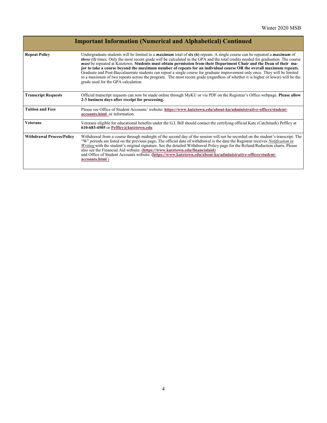|                                  | <b>Important Information (Numerical and Alphabetical) Continued</b>                                                                                                                                                                                                                                                                                                                                                                                                                                                                                                                                                                                                                                                                                                                                                                           |
|----------------------------------|-----------------------------------------------------------------------------------------------------------------------------------------------------------------------------------------------------------------------------------------------------------------------------------------------------------------------------------------------------------------------------------------------------------------------------------------------------------------------------------------------------------------------------------------------------------------------------------------------------------------------------------------------------------------------------------------------------------------------------------------------------------------------------------------------------------------------------------------------|
| <b>Repeat Policy</b>             | Undergraduate students will be limited to a <i>maximum</i> total of $\sin(6)$ repeats. A single course can be repeated a <i>maximum</i> of<br><i>three (3)</i> times. Only the most recent grade will be calculated in the GPA and the total credits needed for graduation. The course<br>must be repeated at Kutztown. Students must obtain permission from their Department Chair and the Dean of their ma-<br>jor to take a course beyond the maximum number of repeats for an individual course OR the overall maximum repeats.<br>Graduate and Post-Baccalaureate students can repeat a single course for graduate improvement only once. They will be limited<br>to a maximum of two repeats across the program. The most recent grade (regardless of whether it is higher or lower) will be the<br>grade used for the GPA calculation. |
| <b>Transcript Requests</b>       | Official transcript requests can now be made online through MyKU or via PDF on the Registrar's Office webpage. Please allow<br>2-3 business days after receipt for processing.                                                                                                                                                                                                                                                                                                                                                                                                                                                                                                                                                                                                                                                                |
| <b>Tuition and Fees</b>          | Please see Office of Student Accounts' website: https://www.kutztown.edu/about-ku/administrative-offices/student-<br>accounts.html or information.                                                                                                                                                                                                                                                                                                                                                                                                                                                                                                                                                                                                                                                                                            |
| <b>Veterans</b>                  | Veterans eligible for educational benefits under the G.I. Bill should contact the certifying official Kate (Catchmark) Peffley at<br>610-683-4505 or Peffley@kutztown.edu                                                                                                                                                                                                                                                                                                                                                                                                                                                                                                                                                                                                                                                                     |
| <b>Withdrawal Process/Policy</b> | Withdrawal from a course through midnight of the second day of the session will not be recorded on the student's transcript. The<br>"W" periods are listed on the previous page. The official date of withdrawal is the date the Registrar receives <i>Notification in</i><br>Writing with the student's original signature. See the detailed Withdrawal Policy page for the Refund/Reduction charts. Please<br>also see the Financial Aid website: (https://www.kutztown.edu/financialaid)<br>and Office of Student Accounts website: (https://www.kutztown.edu/about-ku/administrative-offices/student-<br>accounts.html)                                                                                                                                                                                                                   |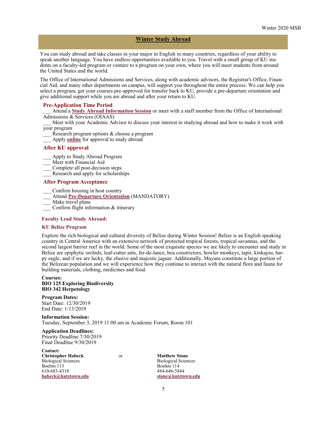#### **Winter Study Abroad**

You can study abroad and take classes in your major in English in many countries, regardless of your ability to speak another language. You have endless opportunities available to you. Travel with a small group of KU students on a faculty-led program or venture to a program on your own, where you will meet students from around the United States and the world.

The Office of International Admissions and Services, along with academic advisors, the Registrar's Office, Financial Aid, and many other departments on campus, will support you throughout the entire process. We can help you select a program, get your courses pre-approved for transfer back to KU, provide a pre-departure orientation and give additional support while you are abroad and after your return to KU.

#### **Pre-Application Time Period**

\_\_\_ Attend a **[Study Abroad Information Session](http://kutztown-sa.terradotta.com/index.cfm?FuseAction=Abroad.ViewLink&Parent_ID=0&Link_ID=596F6DAB-5056-BA21-D7A6773824C6222E)** or meet with a staff member from the Office of International Admissions & Services (OIAAS)

Meet with your Academic Advisor to discuss your interest in studying abroad and how to make it work with your program

- Research program options & choose a program
- Apply **[online](https://kutztown-sa.terradotta.com/secure/)** for approval to study abroad

### **After KU approval**

- \_\_\_ Apply to Study Abroad Program
- Meet with Financial Aid
- Complete all post-decision steps
- \_\_\_ Research and apply for scholarships

#### **After Program Acceptance**

- \_\_\_ Confirm housing in host country
- \_\_\_ Attend **Pre-[Departure Orientation](http://kutztown-sa.terradotta.com/index.cfm?FuseAction=Abroad.ViewLink&Parent_ID=0&Link_ID=596F6DAB-5056-BA21-D7A6773824C6222E)** (MANDATORY)
- Make travel plans
- \_\_\_ Confirm flight information & itinerary

#### **Faculty Lead Study Abroad:**

#### **KU Belize Program**

Explore the rich biological and cultural diversity of Belize during Winter Session! Belize is an English speaking country in Central America with an extensive network of protected tropical forests, tropical savannas, and the second largest barrier reef in the world. Some of the most exquisite species we are likely to encounter and study in Belize are epiphytic orchids, leaf-cutter ants, fer-de-lance, boa constrictors, howler monkeys, tapir, kinkajou, harpy eagle, and if we are lucky, the elusive and majestic jaguar. Additionally, Mayans constitute a large portion of the Belizean population and we will experience how they continue to interact with the natural flora and fauna for building materials, clothing, medicines and food.

#### **Courses: BIO 125 Exploring Biodiversity BIO 342 Herpetology**

**Program Dates:** Start Date: 12/30/2019 End Date: 1/13/2019

**Information Session:** Tuesday, September 3, 2019 11:00 am in Academic Forum, Room 101

#### **Application Deadlines:** Priority Deadline 7/30/2019 Final Deadline 9/30/2019

**Contact: Christopher Habeck** or **Matthew Stone**

610-683-4318

Biological Sciences Biological Sciences Boehm 113<br>610-683-4318<br>484-646-5844 **[habeck@kutztown.edu](mailto:habeck@kutztown.edu) [stone@kutztown.edu](mailto:stone@kutztown.edu)**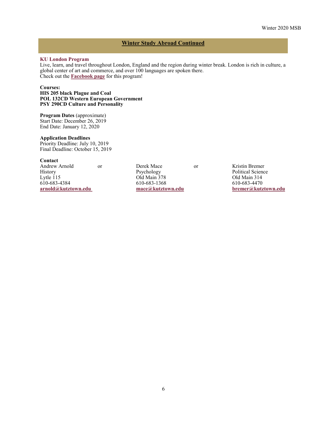# **Winter Study Abroad Continued**

## **KU London Program**

Live, learn, and travel throughout London, England and the region during winter break. London is rich in culture, a global center of art and commerce, and over 100 languages are spoken there. Check out the **[Facebook page](https://www.facebook.com/kutzinlondon/)** for this program!

#### **Courses:**

**HIS 205 black Plague and Coal POL 132CD Western European Government PSY 290CD Culture and Personality**

**Program Dates** (approximate) Start Date: December 26, 2019 End Date: January 12, 2020

# **Application Deadlines**

Priority Deadline: July 10, 2019 Final Deadline: October 15, 2019

#### **Contact**

Andrew Arnold or Derek Mace or Kristin Bremer History Psychology Psychology Political Science<br>
Lytle 115 Old Main 378 Old Main 314 Lytle 115 01d Main 378 01d Main 314<br>
610-683-1368 610-683-1368 610-683-4470 610-683-4384 610-683-1368 610-683-4470

**[arnold@kutztown.edu](mailto:stone@kutztown.edu) [mace@kutztown.edu](mailto:mace@kutztown.edu) [bremer@kutztown.edu](mailto:bremer@kutztown.edu)**